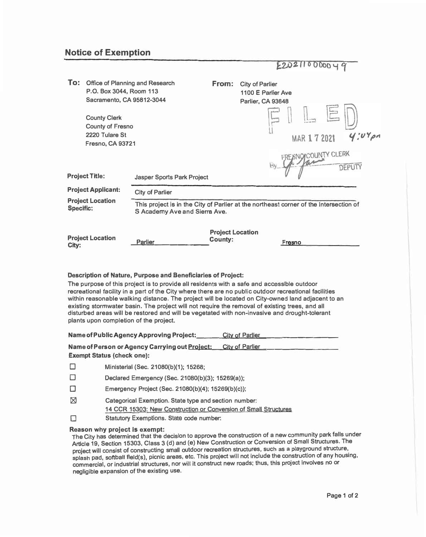## **Notice of Exemption**

|  |  |  | E202110000049 |  |  |
|--|--|--|---------------|--|--|

| To:                                                                      | Office of Planning and Research<br>P.O. Box 3044, Room 113<br>Sacramento, CA 95812-3044     |                                                                                                                        | From:                                     | <b>City of Parlier</b><br>1100 E Parlier Ave<br>Parlier, CA 93648 |                      |  |       |  |
|--------------------------------------------------------------------------|---------------------------------------------------------------------------------------------|------------------------------------------------------------------------------------------------------------------------|-------------------------------------------|-------------------------------------------------------------------|----------------------|--|-------|--|
|                                                                          | <b>County Clerk</b><br><b>County of Fresno</b><br>2220 Tulare St<br><b>Fresno, CA 93721</b> |                                                                                                                        |                                           |                                                                   | <b>MAR 1 7 2021</b>  |  |       |  |
|                                                                          | <b>Project Title:</b>                                                                       | <b>Jasper Sports Park Project</b>                                                                                      |                                           |                                                                   | FREISNOICOUNTY CLERK |  | DEPUT |  |
| <b>Project Applicant:</b><br><b>Project Location</b><br><b>Specific:</b> |                                                                                             | <b>City of Parlier</b>                                                                                                 |                                           |                                                                   |                      |  |       |  |
|                                                                          |                                                                                             | This project is in the City of Parlier at the northeast corner of the intersection of<br>S Academy Ave and Sierra Ave. |                                           |                                                                   |                      |  |       |  |
| City:                                                                    | <b>Project Location</b>                                                                     | Parlier                                                                                                                | <b>Project Location</b><br><b>County:</b> |                                                                   | Fresno               |  |       |  |

## **Description of Nature, Purpose and Beneficiaries of Project:**

**The purpose of this project is to provide all residents with a safe and accessible outdoor recreational facility in a part of the City where there are no public outdoor recreational facilities within reasonable walking distance. The project will be located on City-owned land adjacent to an existing stormwater basin. The project will not require the removal of existing trees, and all disturbed areas will be restored and will be vegetated with non-invasive and drought-tolerant plants upon completion of the project.** 

|                                                                                                               | Name of Public Agency Approving Project:                                                                                  | <b>City of Parlier</b> |  |  |  |
|---------------------------------------------------------------------------------------------------------------|---------------------------------------------------------------------------------------------------------------------------|------------------------|--|--|--|
| Name of Person or Agency Carrying out Project:<br><b>City of Parlier</b><br><b>Exempt Status (check one):</b> |                                                                                                                           |                        |  |  |  |
|                                                                                                               | Ministerial (Sec. 21080(b)(1); 15268;                                                                                     |                        |  |  |  |
|                                                                                                               | Declared Emergency (Sec. 21080(b)(3); 15269(a));                                                                          |                        |  |  |  |
|                                                                                                               | Emergency Project (Sec. 21080(b)(4); 15269(b)(c));                                                                        |                        |  |  |  |
| ⊠                                                                                                             | Categorical Exemption. State type and section number:<br>14 CCR 15303: New Construction or Conversion of Small Structures |                        |  |  |  |
|                                                                                                               | <b>Statutory Exemptions. State code number:</b>                                                                           |                        |  |  |  |

## **Reason why project Is exempt:**

**The City has determined that the decision to approve the construction of a new community park falls under Article 19, Section 15303, Class 3 {d) and (e) New Construction or Conversion of Small Structures. The project will consist of constructing small outdoor recreation structures, such as a playground structure, splash pad, softball fleld(s), picnic areas, etc. This project will not include the construction of any housing, commercial, or industrial structures, nor will it construct new roads; thus, this project involves no or negligible expansion of the existing use.**